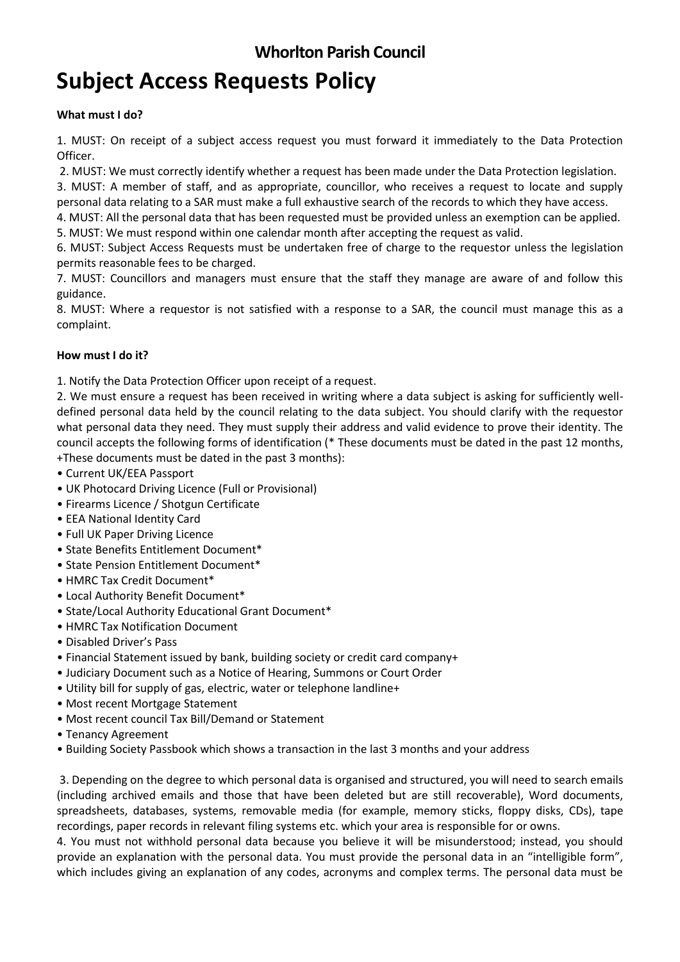## **Whorlton Parish Council**

# **Subject Access Requests Policy**

#### **What must I do?**

1. MUST: On receipt of a subject access request you must forward it immediately to the Data Protection Officer.

2. MUST: We must correctly identify whether a request has been made under the Data Protection legislation.

3. MUST: A member of staff, and as appropriate, councillor, who receives a request to locate and supply personal data relating to a SAR must make a full exhaustive search of the records to which they have access.

4. MUST: All the personal data that has been requested must be provided unless an exemption can be applied.

5. MUST: We must respond within one calendar month after accepting the request as valid.

6. MUST: Subject Access Requests must be undertaken free of charge to the requestor unless the legislation permits reasonable fees to be charged.

7. MUST: Councillors and managers must ensure that the staff they manage are aware of and follow this guidance.

8. MUST: Where a requestor is not satisfied with a response to a SAR, the council must manage this as a complaint.

#### **How must I do it?**

1. Notify the Data Protection Officer upon receipt of a request.

2. We must ensure a request has been received in writing where a data subject is asking for sufficiently welldefined personal data held by the council relating to the data subject. You should clarify with the requestor what personal data they need. They must supply their address and valid evidence to prove their identity. The council accepts the following forms of identification (\* These documents must be dated in the past 12 months, +These documents must be dated in the past 3 months):

- Current UK/EEA Passport
- UK Photocard Driving Licence (Full or Provisional)
- Firearms Licence / Shotgun Certificate
- EEA National Identity Card
- Full UK Paper Driving Licence
- State Benefits Entitlement Document\*
- State Pension Entitlement Document\*
- HMRC Tax Credit Document\*
- Local Authority Benefit Document\*
- State/Local Authority Educational Grant Document\*
- HMRC Tax Notification Document
- Disabled Driver's Pass
- Financial Statement issued by bank, building society or credit card company+
- Judiciary Document such as a Notice of Hearing, Summons or Court Order
- Utility bill for supply of gas, electric, water or telephone landline+
- Most recent Mortgage Statement
- Most recent council Tax Bill/Demand or Statement
- Tenancy Agreement
- Building Society Passbook which shows a transaction in the last 3 months and your address

3. Depending on the degree to which personal data is organised and structured, you will need to search emails (including archived emails and those that have been deleted but are still recoverable), Word documents, spreadsheets, databases, systems, removable media (for example, memory sticks, floppy disks, CDs), tape recordings, paper records in relevant filing systems etc. which your area is responsible for or owns.

4. You must not withhold personal data because you believe it will be misunderstood; instead, you should provide an explanation with the personal data. You must provide the personal data in an "intelligible form", which includes giving an explanation of any codes, acronyms and complex terms. The personal data must be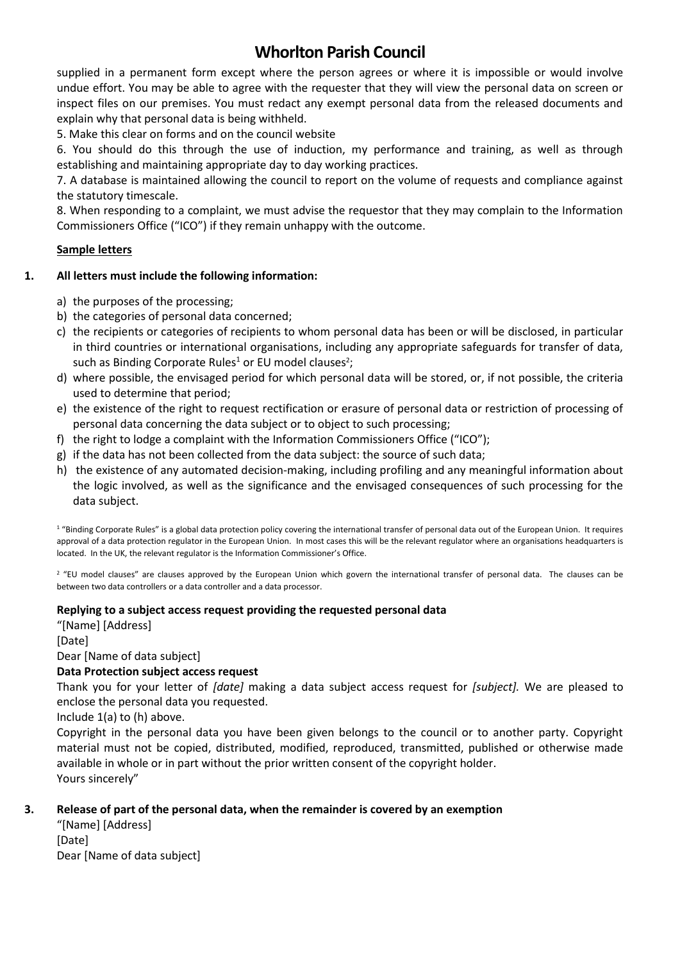## **Whorlton Parish Council**

supplied in a permanent form except where the person agrees or where it is impossible or would involve undue effort. You may be able to agree with the requester that they will view the personal data on screen or inspect files on our premises. You must redact any exempt personal data from the released documents and explain why that personal data is being withheld.

5. Make this clear on forms and on the council website

6. You should do this through the use of induction, my performance and training, as well as through establishing and maintaining appropriate day to day working practices.

7. A database is maintained allowing the council to report on the volume of requests and compliance against the statutory timescale.

8. When responding to a complaint, we must advise the requestor that they may complain to the Information Commissioners Office ("ICO") if they remain unhappy with the outcome.

#### **Sample letters**

#### **1. All letters must include the following information:**

- a) the purposes of the processing;
- b) the categories of personal data concerned;
- c) the recipients or categories of recipients to whom personal data has been or will be disclosed, in particular in third countries or international organisations, including any appropriate safeguards for transfer of data, such as Binding Corporate Rules<sup>1</sup> or EU model clauses<sup>2</sup>;
- d) where possible, the envisaged period for which personal data will be stored, or, if not possible, the criteria used to determine that period;
- e) the existence of the right to request rectification or erasure of personal data or restriction of processing of personal data concerning the data subject or to object to such processing;
- f) the right to lodge a complaint with the Information Commissioners Office ("ICO");
- g) if the data has not been collected from the data subject: the source of such data;
- h) the existence of any automated decision-making, including profiling and any meaningful information about the logic involved, as well as the significance and the envisaged consequences of such processing for the data subject.

<sup>1</sup> "Binding Corporate Rules" is a global data protection policy covering the international transfer of personal data out of the European Union. It requires approval of a data protection regulator in the European Union. In most cases this will be the relevant regulator where an organisations headquarters is located. In the UK, the relevant regulator is the Information Commissioner's Office.

<sup>2</sup> "EU model clauses" are clauses approved by the European Union which govern the international transfer of personal data. The clauses can be between two data controllers or a data controller and a data processor.

#### **Replying to a subject access request providing the requested personal data**

"[Name] [Address] [Date] Dear [Name of data subject]

### **Data Protection subject access request**

Thank you for your letter of *[date]* making a data subject access request for *[subject].* We are pleased to enclose the personal data you requested.

Include 1(a) to (h) above.

Copyright in the personal data you have been given belongs to the council or to another party. Copyright material must not be copied, distributed, modified, reproduced, transmitted, published or otherwise made available in whole or in part without the prior written consent of the copyright holder. Yours sincerely"

#### **3. Release of part of the personal data, when the remainder is covered by an exemption**

"[Name] [Address] [Date] Dear [Name of data subject]